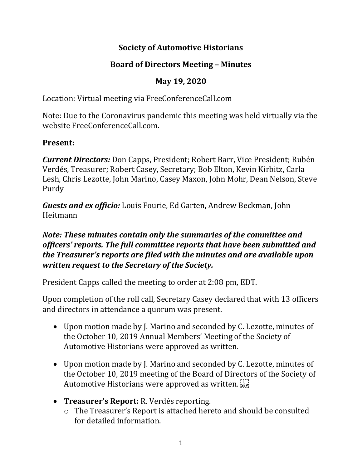### **Society of Automotive Historians**

# **Board of Directors Meeting – Minutes**

## **May 19, 2020**

Location: Virtual meeting via FreeConferenceCall.com

Note: Due to the Coronavirus pandemic this meeting was held virtually via the website FreeConferenceCall.com.

### **Present:**

*Current Directors:* Don Capps, President; Robert Barr, Vice President; Rubén Verdés, Treasurer; Robert Casey, Secretary; Bob Elton, Kevin Kirbitz, Carla Lesh, Chris Lezotte, John Marino, Casey Maxon, John Mohr, Dean Nelson, Steve Purdy

*Guests and ex officio:* Louis Fourie, Ed Garten, Andrew Beckman, John Heitmann

#### *Note: These minutes contain only the summaries of the committee and officers' reports. The full committee reports that have been submitted and the Treasurer's reports are filed with the minutes and are available upon written request to the Secretary of the Society.*

President Capps called the meeting to order at 2:08 pm, EDT.

Upon completion of the roll call, Secretary Casey declared that with 13 officers and directors in attendance a quorum was present.

- Upon motion made by J. Marino and seconded by C. Lezotte, minutes of the October 10, 2019 Annual Members' Meeting of the Society of Automotive Historians were approved as written.
- Upon motion made by J. Marino and seconded by C. Lezotte, minutes of the October 10, 2019 meeting of the Board of Directors of the Society of Automotive Historians were approved as written.
- **Treasurer's Report:** R. Verdés reporting.
	- o The Treasurer's Report is attached hereto and should be consulted for detailed information.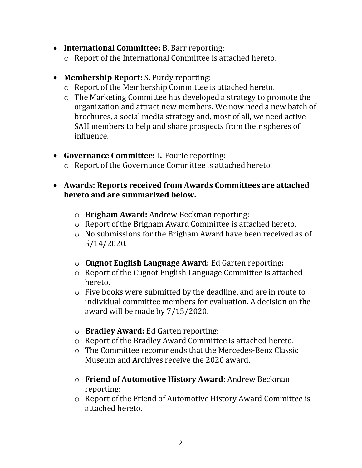- **International Committee:** B. Barr reporting:
	- o Report of the International Committee is attached hereto.
- **Membership Report:** S. Purdy reporting:
	- o Report of the Membership Committee is attached hereto.
	- o The Marketing Committee has developed a strategy to promote the organization and attract new members. We now need a new batch of brochures, a social media strategy and, most of all, we need active SAH members to help and share prospects from their spheres of influence.
- **Governance Committee:** L. Fourie reporting:
	- o Report of the Governance Committee is attached hereto.
- **Awards: Reports received from Awards Committees are attached hereto and are summarized below.**
	- o **Brigham Award:** Andrew Beckman reporting:
	- o Report of the Brigham Award Committee is attached hereto.
	- o No submissions for the Brigham Award have been received as of 5/14/2020.
	- o **Cugnot English Language Award:** Ed Garten reporting**:**
	- o Report of the Cugnot English Language Committee is attached hereto.
	- o Five books were submitted by the deadline, and are in route to individual committee members for evaluation. A decision on the award will be made by 7/15/2020.
	- o **Bradley Award:** Ed Garten reporting:
	- o Report of the Bradley Award Committee is attached hereto.
	- o The Committee recommends that the Mercedes-Benz Classic Museum and Archives receive the 2020 award.
	- o **Friend of Automotive History Award:** Andrew Beckman reporting:
	- o Report of the Friend of Automotive History Award Committee is attached hereto.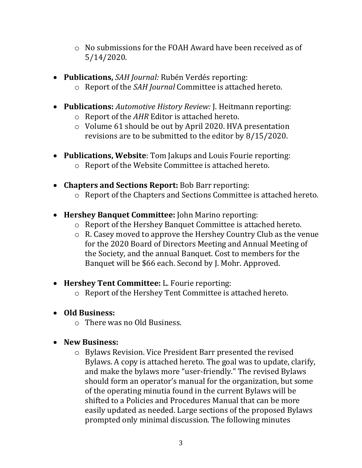- o No submissions for the FOAH Award have been received as of 5/14/2020.
- **Publications,** *SAH Journal:* Rubén Verdés reporting:
	- o Report of the *SAH Journal* Committee is attached hereto.
- **Publications:** *Automotive History Review:* J. Heitmann reporting:
	- o Report of the *AHR* Editor is attached hereto.
	- o Volume 61 should be out by April 2020. HVA presentation revisions are to be submitted to the editor by 8/15/2020.
- **Publications, Website**: Tom Jakups and Louis Fourie reporting: o Report of the Website Committee is attached hereto.
- **Chapters and Sections Report:** Bob Barr reporting: o Report of the Chapters and Sections Committee is attached hereto.
	-
- **Hershey Banquet Committee:** John Marino reporting:
	- o Report of the Hershey Banquet Committee is attached hereto.
	- o R. Casey moved to approve the Hershey Country Club as the venue for the 2020 Board of Directors Meeting and Annual Meeting of the Society, and the annual Banquet. Cost to members for the Banquet will be \$66 each. Second by J. Mohr. Approved.
- **Hershey Tent Committee:** L. Fourie reporting:
	- o Report of the Hershey Tent Committee is attached hereto.
- **Old Business:**
	- o There was no Old Business.

#### • **New Business:**

o Bylaws Revision. Vice President Barr presented the revised Bylaws. A copy is attached hereto. The goal was to update, clarify, and make the bylaws more "user-friendly." The revised Bylaws should form an operator's manual for the organization, but some of the operating minutia found in the current Bylaws will be shifted to a Policies and Procedures Manual that can be more easily updated as needed. Large sections of the proposed Bylaws prompted only minimal discussion. The following minutes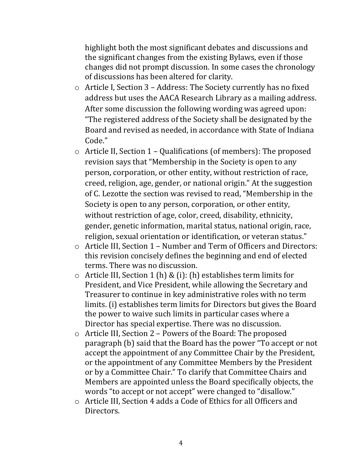highlight both the most significant debates and discussions and the significant changes from the existing Bylaws, even if those changes did not prompt discussion. In some cases the chronology of discussions has been altered for clarity.

- o Article I, Section 3 Address: The Society currently has no fixed address but uses the AACA Research Library as a mailing address. After some discussion the following wording was agreed upon: "The registered address of the Society shall be designated by the Board and revised as needed, in accordance with State of Indiana Code."
- o Article II, Section 1 Qualifications (of members): The proposed revision says that "Membership in the Society is open to any person, corporation, or other entity, without restriction of race, creed, religion, age, gender, or national origin." At the suggestion of C. Lezotte the section was revised to read, "Membership in the Society is open to any person, corporation, or other entity, without restriction of age, color, creed, disability, ethnicity, gender, genetic information, marital status, national origin, race, religion, sexual orientation or identification, or veteran status."
- o Article III, Section 1 Number and Term of Officers and Directors: this revision concisely defines the beginning and end of elected terms. There was no discussion.
- $\circ$  Article III, Section 1 (h) & (i): (h) establishes term limits for President, and Vice President, while allowing the Secretary and Treasurer to continue in key administrative roles with no term limits. (i) establishes term limits for Directors but gives the Board the power to waive such limits in particular cases where a Director has special expertise. There was no discussion.
- o Article III, Section 2 Powers of the Board: The proposed paragraph (b) said that the Board has the power "To accept or not accept the appointment of any Committee Chair by the President, or the appointment of any Committee Members by the President or by a Committee Chair." To clarify that Committee Chairs and Members are appointed unless the Board specifically objects, the words "to accept or not accept" were changed to "disallow."
- o Article III, Section 4 adds a Code of Ethics for all Officers and Directors.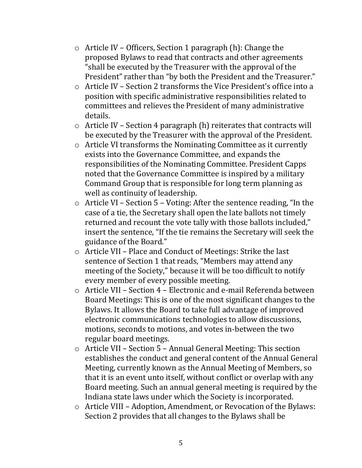- o Article IV Officers, Section 1 paragraph (h): Change the proposed Bylaws to read that contracts and other agreements "shall be executed by the Treasurer with the approval of the President" rather than "by both the President and the Treasurer."
- o Article IV Section 2 transforms the Vice President's office into a position with specific administrative responsibilities related to committees and relieves the President of many administrative details.
- $\circ$  Article IV Section 4 paragraph (h) reiterates that contracts will be executed by the Treasurer with the approval of the President.
- o Article VI transforms the Nominating Committee as it currently exists into the Governance Committee, and expands the responsibilities of the Nominating Committee. President Capps noted that the Governance Committee is inspired by a military Command Group that is responsible for long term planning as well as continuity of leadership.
- o Article VI Section 5 Voting: After the sentence reading, "In the case of a tie, the Secretary shall open the late ballots not timely returned and recount the vote tally with those ballots included," insert the sentence, "If the tie remains the Secretary will seek the guidance of the Board."
- o Article VII Place and Conduct of Meetings: Strike the last sentence of Section 1 that reads, "Members may attend any meeting of the Society," because it will be too difficult to notify every member of every possible meeting.
- o Article VII Section 4 Electronic and e-mail Referenda between Board Meetings: This is one of the most significant changes to the Bylaws. It allows the Board to take full advantage of improved electronic communications technologies to allow discussions, motions, seconds to motions, and votes in-between the two regular board meetings.
- o Article VII Section 5 Annual General Meeting: This section establishes the conduct and general content of the Annual General Meeting, currently known as the Annual Meeting of Members, so that it is an event unto itself, without conflict or overlap with any Board meeting. Such an annual general meeting is required by the Indiana state laws under which the Society is incorporated.
- o Article VIII Adoption, Amendment, or Revocation of the Bylaws: Section 2 provides that all changes to the Bylaws shall be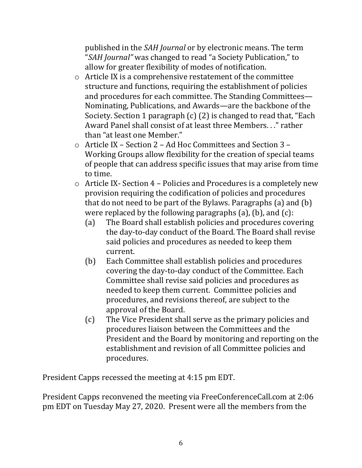published in the *SAH Journal* or by electronic means. The term "*SAH Journal"* was changed to read "a Society Publication," to allow for greater flexibility of modes of notification.

- o Article IX is a comprehensive restatement of the committee structure and functions, requiring the establishment of policies and procedures for each committee. The Standing Committees— Nominating, Publications, and Awards—are the backbone of the Society. Section 1 paragraph (c) (2) is changed to read that, "Each Award Panel shall consist of at least three Members. . ." rather than "at least one Member."
- o Article IX Section 2 Ad Hoc Committees and Section 3 Working Groups allow flexibility for the creation of special teams of people that can address specific issues that may arise from time to time.
- o Article IX- Section 4 Policies and Procedures is a completely new provision requiring the codification of policies and procedures that do not need to be part of the Bylaws. Paragraphs (a) and (b) were replaced by the following paragraphs (a), (b), and (c):
	- (a) The Board shall establish policies and procedures covering the day-to-day conduct of the Board. The Board shall revise said policies and procedures as needed to keep them current.
	- (b) Each Committee shall establish policies and procedures covering the day-to-day conduct of the Committee. Each Committee shall revise said policies and procedures as needed to keep them current. Committee policies and procedures, and revisions thereof, are subject to the approval of the Board.
	- (c) The Vice President shall serve as the primary policies and procedures liaison between the Committees and the President and the Board by monitoring and reporting on the establishment and revision of all Committee policies and procedures.

President Capps recessed the meeting at 4:15 pm EDT.

President Capps reconvened the meeting via FreeConferenceCall.com at 2:06 pm EDT on Tuesday May 27, 2020. Present were all the members from the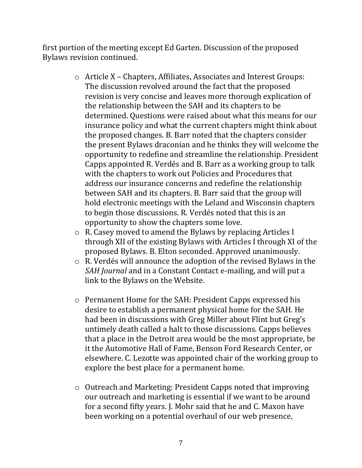first portion of the meeting except Ed Garten. Discussion of the proposed Bylaws revision continued.

- o Article X Chapters, Affiliates, Associates and Interest Groups: The discussion revolved around the fact that the proposed revision is very concise and leaves more thorough explication of the relationship between the SAH and its chapters to be determined. Questions were raised about what this means for our insurance policy and what the current chapters might think about the proposed changes. B. Barr noted that the chapters consider the present Bylaws draconian and he thinks they will welcome the opportunity to redefine and streamline the relationship. President Capps appointed R. Verdés and B. Barr as a working group to talk with the chapters to work out Policies and Procedures that address our insurance concerns and redefine the relationship between SAH and its chapters. B. Barr said that the group will hold electronic meetings with the Leland and Wisconsin chapters to begin those discussions. R. Verdés noted that this is an opportunity to show the chapters some love.
- o R. Casey moved to amend the Bylaws by replacing Articles I through XII of the existing Bylaws with Articles I through XI of the proposed Bylaws. B. Elton seconded. Approved unanimously.
- o R. Verdés will announce the adoption of the revised Bylaws in the *SAH Journal* and in a Constant Contact e-mailing, and will put a link to the Bylaws on the Website.
- o Permanent Home for the SAH: President Capps expressed his desire to establish a permanent physical home for the SAH. He had been in discussions with Greg Miller about Flint but Greg's untimely death called a halt to those discussions. Capps believes that a place in the Detroit area would be the most appropriate, be it the Automotive Hall of Fame, Benson Ford Research Center, or elsewhere. C. Lezotte was appointed chair of the working group to explore the best place for a permanent home.
- o Outreach and Marketing: President Capps noted that improving our outreach and marketing is essential if we want to be around for a second fifty years. J. Mohr said that he and C. Maxon have been working on a potential overhaul of our web presence,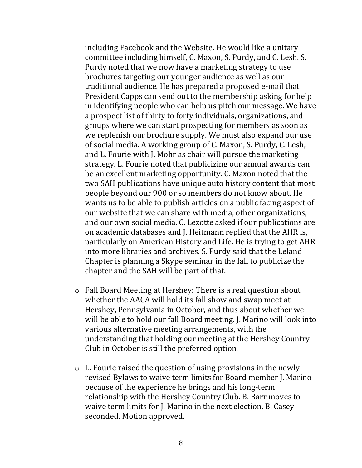including Facebook and the Website. He would like a unitary committee including himself, C. Maxon, S. Purdy, and C. Lesh. S. Purdy noted that we now have a marketing strategy to use brochures targeting our younger audience as well as our traditional audience. He has prepared a proposed e-mail that President Capps can send out to the membership asking for help in identifying people who can help us pitch our message. We have a prospect list of thirty to forty individuals, organizations, and groups where we can start prospecting for members as soon as we replenish our brochure supply. We must also expand our use of social media. A working group of C. Maxon, S. Purdy, C. Lesh, and L. Fourie with J. Mohr as chair will pursue the marketing strategy. L. Fourie noted that publicizing our annual awards can be an excellent marketing opportunity. C. Maxon noted that the two SAH publications have unique auto history content that most people beyond our 900 or so members do not know about. He wants us to be able to publish articles on a public facing aspect of our website that we can share with media, other organizations, and our own social media. C. Lezotte asked if our publications are on academic databases and J. Heitmann replied that the AHR is, particularly on American History and Life. He is trying to get AHR into more libraries and archives. S. Purdy said that the Leland Chapter is planning a Skype seminar in the fall to publicize the chapter and the SAH will be part of that.

- o Fall Board Meeting at Hershey: There is a real question about whether the AACA will hold its fall show and swap meet at Hershey, Pennsylvania in October, and thus about whether we will be able to hold our fall Board meeting. J. Marino will look into various alternative meeting arrangements, with the understanding that holding our meeting at the Hershey Country Club in October is still the preferred option.
- o L. Fourie raised the question of using provisions in the newly revised Bylaws to waive term limits for Board member J. Marino because of the experience he brings and his long-term relationship with the Hershey Country Club. B. Barr moves to waive term limits for J. Marino in the next election. B. Casey seconded. Motion approved.